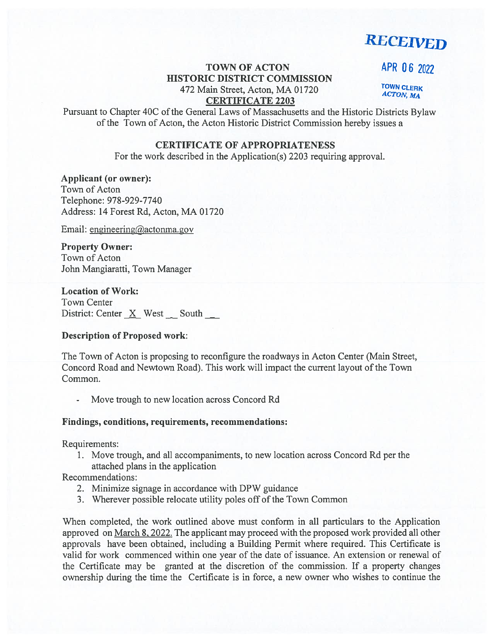**RECEIVED** 

# TOWN OF ACTON APR 06 2022 HISTORIC DISTRICT COMMISSION 472 Main Street, Acton, MA 01720 CERTIFICATE 2203

**TOWN CLERK ACTON, MA** 

Pursuant to Chapter 40C of the General Laws of Massachusetts and the Historic Districts Bylaw of the Town of Acton, the Acton Historic District Commission hereby issues <sup>a</sup>

#### CERTIFICATE OF APPROPRIATENESS

For the work described in the Application(s) 2203 requiring approval.

### Applicant (or owner):

Town of Acton Telephone: 978-929-7740 Address: 14 Forest Rd, Acton, MA 01720

Email: engineering@actonma.gov

## Property Owner:

Town of Acton John Mangiaratti, Town Manager

### Location of Work:

Town Center District: Center  $X$  West South  $\Box$ 

## Description of Proposed work:

The Town of Acton is proposing to reconfigure the roadways in Acton Center (Main Street, Concord Road and Newtown Road). This work will impact the current layout of the Town Common.

Move trough to new location across Concord Rd

#### Findings, conditions, requirements, recommendations:

Requirements:

1. Move trough, and all accompaniments, to new location across Concord Rd per the attached plans in the application

## Recommendations:

- 2. Minimize signage in accordance with DPW guidance
- 3. Wherever possible relocate utility poles off of the Town Common

When completed, the work outlined above must conform in all particulars to the Application approved on March 8. 2022. The applicant may proceed with the proposed work provided all other approvals have been obtained, including <sup>a</sup> Building Permit where required. This Certificate is valid for work commenced within one year of the date of issuance. An extension or renewal of the Certificate may be granted at the discretion of the commission. If <sup>a</sup> property changes ownership during the time the Certificate is in force, <sup>a</sup> new owner who wishes to continue the